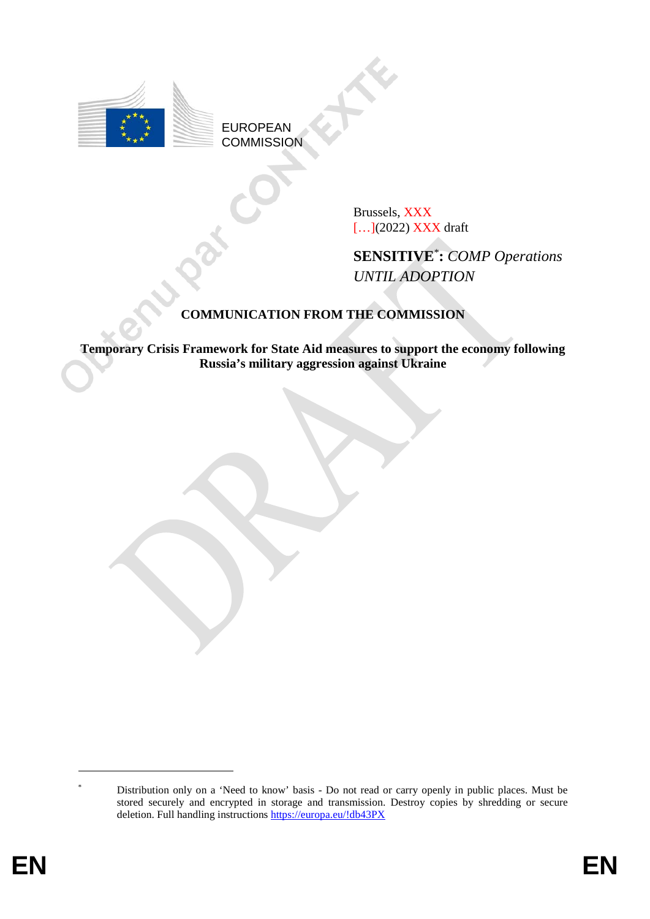

EUROPEAN **COMMISSION** 

> Brussels, XXX [...](2022) **XXX** draft

**SENSITIVE**\* **:** *COMP Operations UNTIL ADOPTION*

# **COMMUNICATION FROM THE COMMISSION**

**Temporary Crisis Framework for State Aid measures to support the economy following Russia's military aggression against Ukraine** 

<u>.</u>

Distribution only on a 'Need to know' basis - Do not read or carry openly in public places. Must be stored securely and encrypted in storage and transmission. Destroy copies by shredding or secure deletion. Full handling instructions https://europa.eu/!db43PX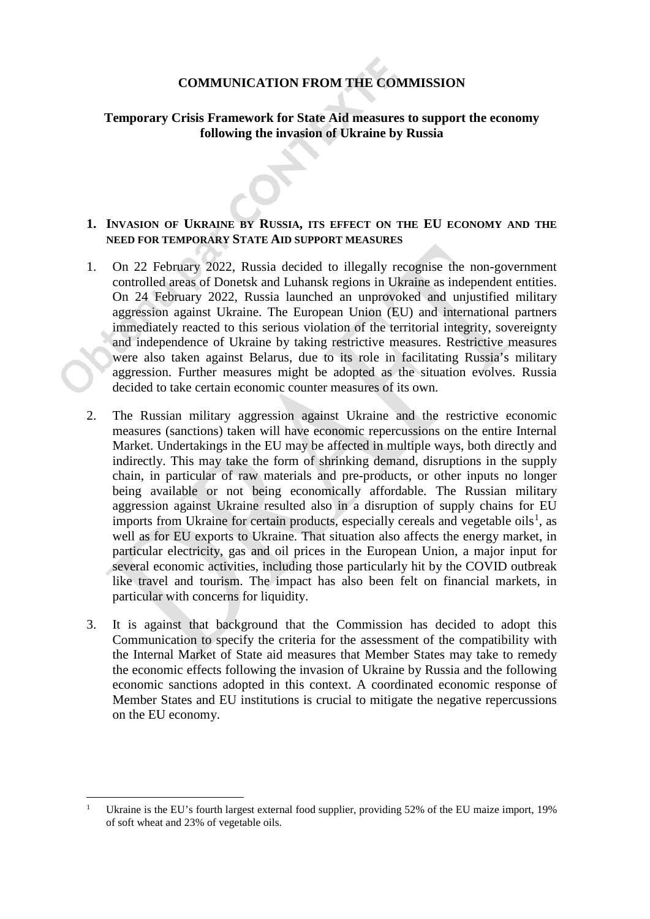# **COMMUNICATION FROM THE COMMISSION**

# **Temporary Crisis Framework for State Aid measures to support the economy following the invasion of Ukraine by Russia**

## **1. INVASION OF UKRAINE BY RUSSIA, ITS EFFECT ON THE EU ECONOMY AND THE NEED FOR TEMPORARY STATE AID SUPPORT MEASURES**

- 1. On 22 February 2022, Russia decided to illegally recognise the non-government controlled areas of Donetsk and Luhansk regions in Ukraine as independent entities. On 24 February 2022, Russia launched an unprovoked and unjustified military aggression against Ukraine. The European Union (EU) and international partners immediately reacted to this serious violation of the territorial integrity, sovereignty and independence of Ukraine by taking restrictive measures. Restrictive measures were also taken against Belarus, due to its role in facilitating Russia's military aggression. Further measures might be adopted as the situation evolves. Russia decided to take certain economic counter measures of its own.
- 2. The Russian military aggression against Ukraine and the restrictive economic measures (sanctions) taken will have economic repercussions on the entire Internal Market. Undertakings in the EU may be affected in multiple ways, both directly and indirectly. This may take the form of shrinking demand, disruptions in the supply chain, in particular of raw materials and pre-products, or other inputs no longer being available or not being economically affordable. The Russian military aggression against Ukraine resulted also in a disruption of supply chains for EU imports from Ukraine for certain products, especially cereals and vegetable oils<sup>[1](#page-1-0)</sup>, as well as for EU exports to Ukraine. That situation also affects the energy market, in particular electricity, gas and oil prices in the European Union, a major input for several economic activities, including those particularly hit by the COVID outbreak like travel and tourism. The impact has also been felt on financial markets, in particular with concerns for liquidity.
- 3. It is against that background that the Commission has decided to adopt this Communication to specify the criteria for the assessment of the compatibility with the Internal Market of State aid measures that Member States may take to remedy the economic effects following the invasion of Ukraine by Russia and the following economic sanctions adopted in this context. A coordinated economic response of Member States and EU institutions is crucial to mitigate the negative repercussions on the EU economy.

<span id="page-1-0"></span>Ukraine is the EU's fourth largest external food supplier, providing 52% of the EU maize import, 19% of soft wheat and 23% of vegetable oils.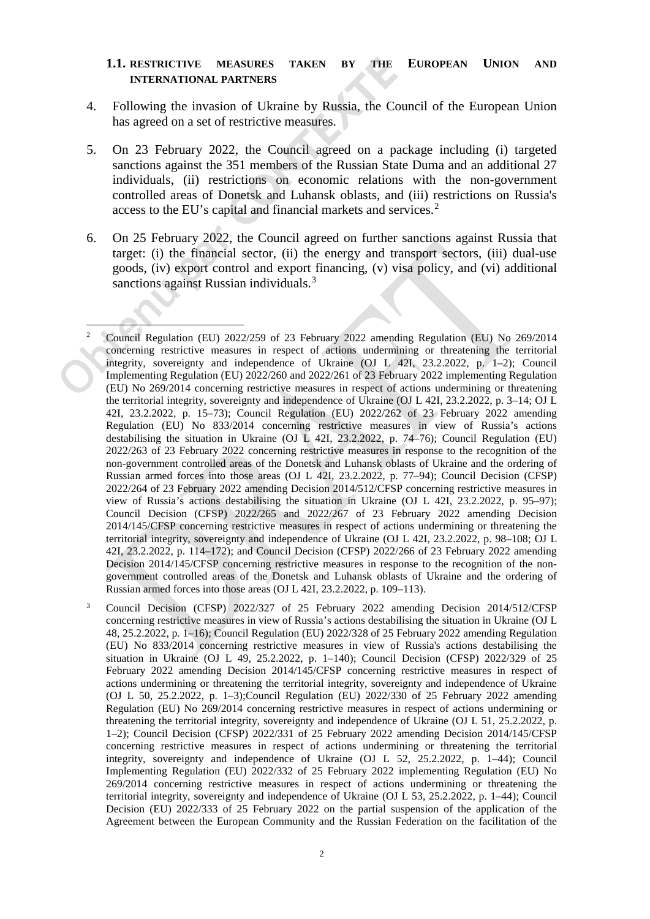### **1.1. RESTRICTIVE MEASURES TAKEN BY THE EUROPEAN UNION AND INTERNATIONAL PARTNERS**

- 4. Following the invasion of Ukraine by Russia, the Council of the European Union has agreed on a set of restrictive measures.
- 5. On 23 February 2022, the Council agreed on a package including (i) targeted sanctions against the 351 members of the Russian State Duma and an additional 27 individuals, (ii) restrictions on economic relations with the non-government controlled areas of Donetsk and Luhansk oblasts, and (iii) restrictions on Russia's access to the EU's capital and financial markets and services.<sup>[2](#page-2-0)</sup>
- 6. On 25 February 2022, the Council agreed on further sanctions against Russia that target: (i) the financial sector, (ii) the energy and transport sectors, (iii) dual-use goods, (iv) export control and export financing, (v) visa policy, and (vi) additional sanctions against Russian individuals.<sup>[3](#page-2-1)</sup>
- <span id="page-2-0"></span> 2 Council Regulation (EU) 2022/259 of 23 February 2022 amending Regulation (EU) No 269/2014 concerning restrictive measures in respect of actions undermining or threatening the territorial integrity, sovereignty and independence of Ukraine (OJ L 42I, 23.2.2022, p. 1–2); Council Implementing Regulation (EU) 2022/260 and 2022/261 of 23 February 2022 implementing Regulation (EU) No 269/2014 concerning restrictive measures in respect of actions undermining or threatening the territorial integrity, sovereignty and independence of Ukraine (OJ L 42I, 23.2.2022, p. 3–14; OJ L 42I, 23.2.2022, p. 15–73); Council Regulation (EU) 2022/262 of 23 February 2022 amending Regulation (EU) No 833/2014 concerning restrictive measures in view of Russia's actions destabilising the situation in Ukraine (OJ L 42I, 23.2.2022, p. 74–76); Council Regulation (EU) 2022/263 of 23 February 2022 concerning restrictive measures in response to the recognition of the non-government controlled areas of the Donetsk and Luhansk oblasts of Ukraine and the ordering of Russian armed forces into those areas (OJ L 42I, 23.2.2022, p. 77–94); Council Decision (CFSP) 2022/264 of 23 February 2022 amending Decision 2014/512/CFSP concerning restrictive measures in view of Russia's actions destabilising the situation in Ukraine (OJ L 42I, 23.2.2022, p. 95–97); Council Decision (CFSP) 2022/265 and 2022/267 of 23 February 2022 amending Decision 2014/145/CFSP concerning restrictive measures in respect of actions undermining or threatening the territorial integrity, sovereignty and independence of Ukraine (OJ L 42I, 23.2.2022, p. 98–108; OJ L 42I, 23.2.2022, p. 114–172); and Council Decision (CFSP) 2022/266 of 23 February 2022 amending Decision 2014/145/CFSP concerning restrictive measures in response to the recognition of the nongovernment controlled areas of the Donetsk and Luhansk oblasts of Ukraine and the ordering of Russian armed forces into those areas (OJ L 42I, 23.2.2022, p. 109–113).
- <span id="page-2-1"></span><sup>3</sup> Council Decision (CFSP) 2022/327 of 25 February 2022 amending Decision 2014/512/CFSP concerning restrictive measures in view of Russia's actions destabilising the situation in Ukraine (OJ L 48, 25.2.2022, p. 1–16); Council Regulation (EU) 2022/328 of 25 February 2022 amending Regulation (EU) No 833/2014 concerning restrictive measures in view of Russia's actions destabilising the situation in Ukraine (OJ L 49, 25.2.2022, p. 1–140); Council Decision (CFSP) 2022/329 of 25 February 2022 amending Decision 2014/145/CFSP concerning restrictive measures in respect of actions undermining or threatening the territorial integrity, sovereignty and independence of Ukraine (OJ L 50, 25.2.2022, p. 1–3);Council Regulation (EU) 2022/330 of 25 February 2022 amending Regulation (EU) No 269/2014 concerning restrictive measures in respect of actions undermining or threatening the territorial integrity, sovereignty and independence of Ukraine (OJ L 51, 25.2.2022, p. 1–2); Council Decision (CFSP) 2022/331 of 25 February 2022 amending Decision 2014/145/CFSP concerning restrictive measures in respect of actions undermining or threatening the territorial integrity, sovereignty and independence of Ukraine (OJ L 52, 25.2.2022, p. 1–44); Council Implementing Regulation (EU) 2022/332 of 25 February 2022 implementing Regulation (EU) No 269/2014 concerning restrictive measures in respect of actions undermining or threatening the territorial integrity, sovereignty and independence of Ukraine (OJ L 53, 25.2.2022, p. 1–44); Council Decision (EU) 2022/333 of 25 February 2022 on the partial suspension of the application of the Agreement between the European Community and the Russian Federation on the facilitation of the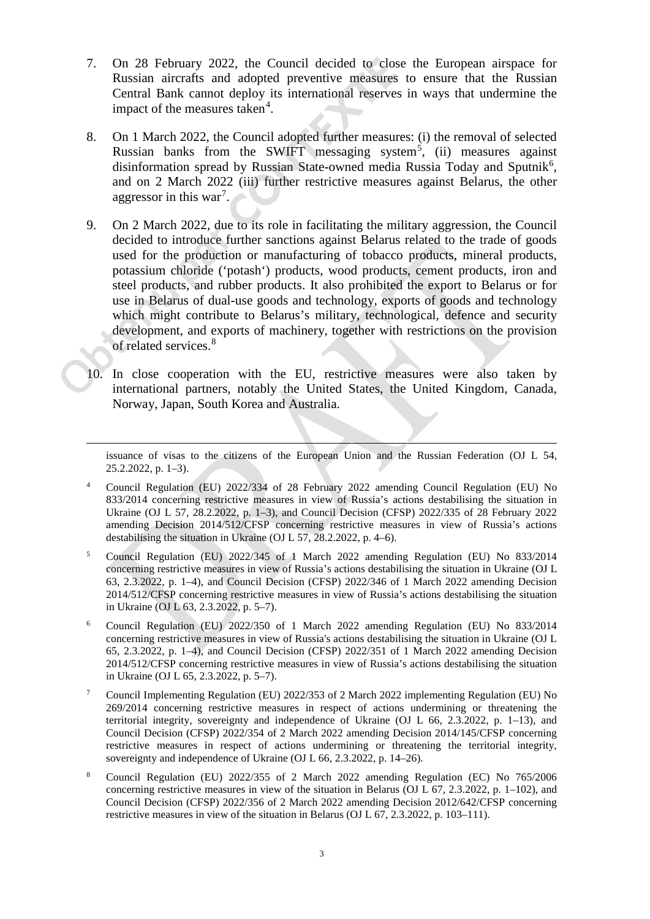- 7. On 28 February 2022, the Council decided to close the European airspace for Russian aircrafts and adopted preventive measures to ensure that the Russian Central Bank cannot deploy its international reserves in ways that undermine the impact of the measures taken<sup>[4](#page-3-0)</sup>.
- 8. On 1 March 2022, the Council adopted further measures: (i) the removal of selected Russian banks from the SWIFT messaging system<sup>[5](#page-3-1)</sup>, (ii) measures against disinformation spread by Russian State-owned media Russia Today and Sputnik<sup>[6](#page-3-2)</sup>, and on 2 March 2022 (iii) further restrictive measures against Belarus, the other aggressor in this war<sup>[7](#page-3-3)</sup>.
- 9. On 2 March 2022, due to its role in facilitating the military aggression, the Council decided to introduce further sanctions against Belarus related to the trade of goods used for the production or manufacturing of tobacco products, mineral products, potassium chloride ('potash') products, wood products, cement products, iron and steel products, and rubber products. It also prohibited the export to Belarus or for use in Belarus of dual-use goods and technology, exports of goods and technology which might contribute to Belarus's military, technological, defence and security development, and exports of machinery, together with restrictions on the provision of related services.<sup>[8](#page-3-4)</sup>
- 10. In close cooperation with the EU, restrictive measures were also taken by international partners, notably the United States, the United Kingdom, Canada, Norway, Japan, South Korea and Australia.

issuance of visas to the citizens of the European Union and the Russian Federation (OJ L 54, 25.2.2022, p. 1–3).

 $\overline{a}$ 

- <span id="page-3-0"></span><sup>4</sup> Council Regulation (EU) 2022/334 of 28 February 2022 amending Council Regulation (EU) No 833/2014 concerning restrictive measures in view of Russia's actions destabilising the situation in Ukraine (OJ L 57, 28.2.2022, p. 1–3), and Council Decision (CFSP) 2022/335 of 28 February 2022 amending Decision 2014/512/CFSP concerning restrictive measures in view of Russia's actions destabilising the situation in Ukraine (OJ L 57, 28.2.2022, p. 4–6).
- <span id="page-3-1"></span><sup>5</sup> Council Regulation (EU) 2022/345 of 1 March 2022 amending Regulation (EU) No 833/2014 concerning restrictive measures in view of Russia's actions destabilising the situation in Ukraine (OJ L 63, 2.3.2022, p. 1–4), and Council Decision (CFSP) 2022/346 of 1 March 2022 amending Decision 2014/512/CFSP concerning restrictive measures in view of Russia's actions destabilising the situation in Ukraine (OJ L 63, 2.3.2022, p. 5–7).
- <span id="page-3-2"></span><sup>6</sup> Council Regulation (EU) 2022/350 of 1 March 2022 amending Regulation (EU) No 833/2014 concerning restrictive measures in view of Russia's actions destabilising the situation in Ukraine (OJ L 65, 2.3.2022, p. 1–4), and Council Decision (CFSP) 2022/351 of 1 March 2022 amending Decision 2014/512/CFSP concerning restrictive measures in view of Russia's actions destabilising the situation in Ukraine (OJ L 65, 2.3.2022, p. 5–7).
- <span id="page-3-3"></span><sup>7</sup> Council Implementing Regulation (EU) 2022/353 of 2 March 2022 implementing Regulation (EU) No 269/2014 concerning restrictive measures in respect of actions undermining or threatening the territorial integrity, sovereignty and independence of Ukraine (OJ L 66, 2.3.2022, p. 1–13), and Council Decision (CFSP) 2022/354 of 2 March 2022 amending Decision 2014/145/CFSP concerning restrictive measures in respect of actions undermining or threatening the territorial integrity, sovereignty and independence of Ukraine (OJ L 66, 2.3.2022, p. 14–26).
- <span id="page-3-4"></span><sup>8</sup> Council Regulation (EU) 2022/355 of 2 March 2022 amending Regulation (EC) No 765/2006 concerning restrictive measures in view of the situation in Belarus (OJ L 67, 2.3.2022, p. 1–102), and Council Decision (CFSP) 2022/356 of 2 March 2022 amending Decision 2012/642/CFSP concerning restrictive measures in view of the situation in Belarus (OJ L 67, 2.3.2022, p. 103–111).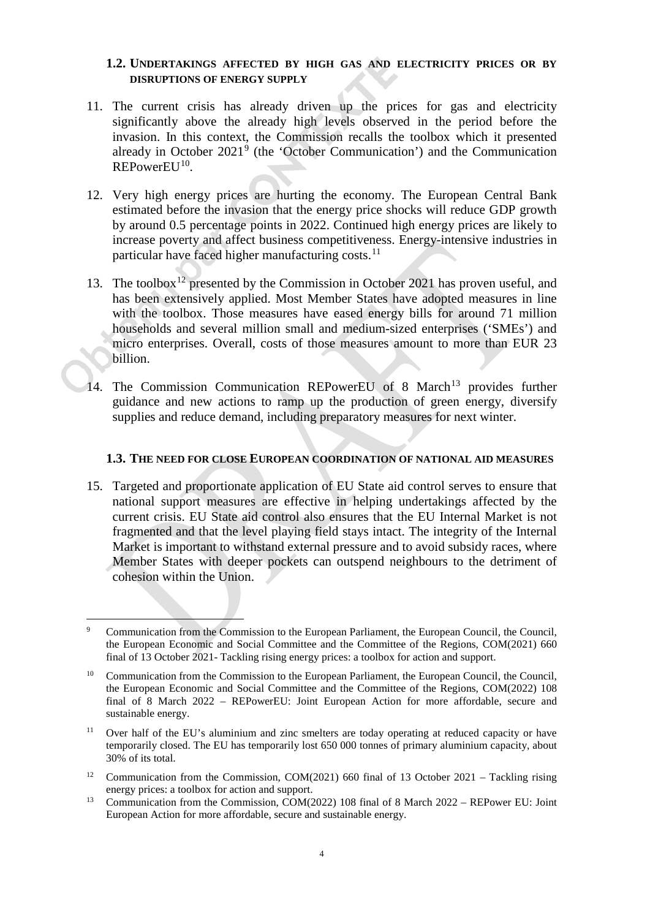### **1.2. UNDERTAKINGS AFFECTED BY HIGH GAS AND ELECTRICITY PRICES OR BY DISRUPTIONS OF ENERGY SUPPLY**

- 11. The current crisis has already driven up the prices for gas and electricity significantly above the already high levels observed in the period before the invasion. In this context, the Commission recalls the toolbox which it presented already in October  $2021<sup>9</sup>$  $2021<sup>9</sup>$  $2021<sup>9</sup>$  (the 'October Communication') and the Communication  $REPowerEU^{10}$ .
- 12. Very high energy prices are hurting the economy. The European Central Bank estimated before the invasion that the energy price shocks will reduce GDP growth by around 0.5 percentage points in 2022. Continued high energy prices are likely to increase poverty and affect business competitiveness. Energy-intensive industries in particular have faced higher manufacturing costs.<sup>[11](#page-4-2)</sup>
- 13. The toolbox<sup>[12](#page-4-3)</sup> presented by the Commission in October 2021 has proven useful, and has been extensively applied. Most Member States have adopted measures in line with the toolbox. Those measures have eased energy bills for around 71 million households and several million small and medium-sized enterprises ('SMEs') and micro enterprises. Overall, costs of those measures amount to more than EUR 23 billion.
- 14. The Commission Communication REPowerEU of 8 March<sup>[13](#page-4-4)</sup> provides further guidance and new actions to ramp up the production of green energy, diversify supplies and reduce demand, including preparatory measures for next winter.

#### **1.3. THE NEED FOR CLOSE EUROPEAN COORDINATION OF NATIONAL AID MEASURES**

15. Targeted and proportionate application of EU State aid control serves to ensure that national support measures are effective in helping undertakings affected by the current crisis. EU State aid control also ensures that the EU Internal Market is not fragmented and that the level playing field stays intact. The integrity of the Internal Market is important to withstand external pressure and to avoid subsidy races, where Member States with deeper pockets can outspend neighbours to the detriment of cohesion within the Union.

- <span id="page-4-3"></span><sup>12</sup> Communication from the Commission, COM(2021) 660 final of 13 October 2021 – Tackling rising energy prices: a toolbox for action and support.
- <span id="page-4-4"></span><sup>13</sup> Communication from the Commission, COM(2022) 108 final of 8 March 2022 – REPower EU: Joint European Action for more affordable, secure and sustainable energy.

<span id="page-4-0"></span> <sup>9</sup> Communication from the Commission to the European Parliament, the European Council, the Council, the European Economic and Social Committee and the Committee of the Regions, COM(2021) 660 final of 13 October 2021- Tackling rising energy prices: a toolbox for action and support.

<span id="page-4-1"></span><sup>&</sup>lt;sup>10</sup> Communication from the Commission to the European Parliament, the European Council, the Council, the European Economic and Social Committee and the Committee of the Regions, COM(2022) 108 final of 8 March 2022 – REPowerEU: Joint European Action for more affordable, secure and sustainable energy.

<span id="page-4-2"></span><sup>&</sup>lt;sup>11</sup> Over half of the EU's aluminium and zinc smelters are today operating at reduced capacity or have temporarily closed. The EU has temporarily lost 650 000 tonnes of primary aluminium capacity, about 30% of its total.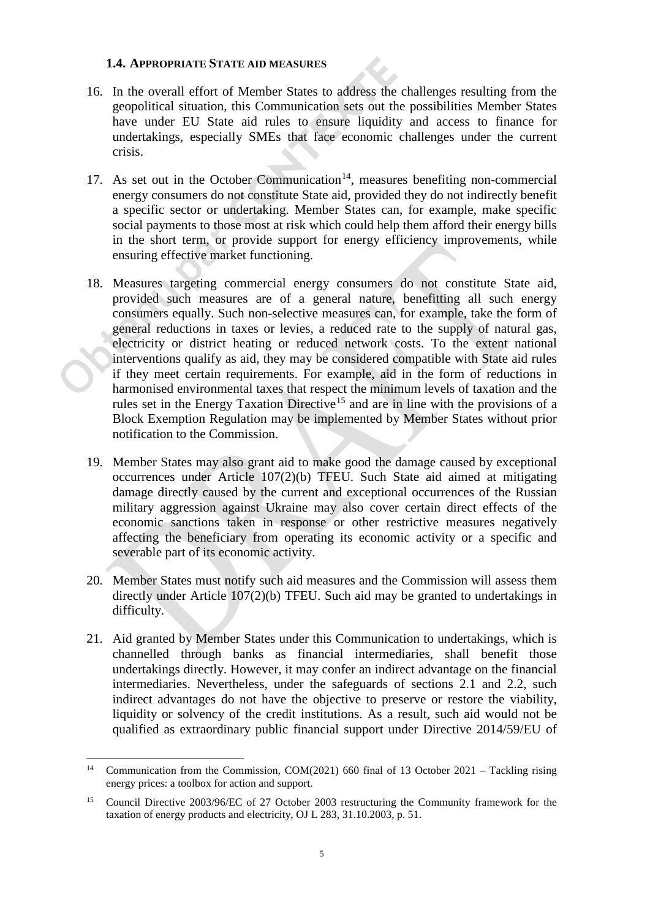### **1.4. APPROPRIATE STATE AID MEASURES**

- 16. In the overall effort of Member States to address the challenges resulting from the geopolitical situation, this Communication sets out the possibilities Member States have under EU State aid rules to ensure liquidity and access to finance for undertakings, especially SMEs that face economic challenges under the current crisis.
- 17. As set out in the October Communication<sup>[14](#page-5-0)</sup>, measures benefiting non-commercial energy consumers do not constitute State aid, provided they do not indirectly benefit a specific sector or undertaking. Member States can, for example, make specific social payments to those most at risk which could help them afford their energy bills in the short term, or provide support for energy efficiency improvements, while ensuring effective market functioning.
- 18. Measures targeting commercial energy consumers do not constitute State aid, provided such measures are of a general nature, benefitting all such energy consumers equally. Such non-selective measures can, for example*,* take the form of general reductions in taxes or levies, a reduced rate to the supply of natural gas, electricity or district heating or reduced network costs. To the extent national interventions qualify as aid, they may be considered compatible with State aid rules if they meet certain requirements. For example, aid in the form of reductions in harmonised environmental taxes that respect the minimum levels of taxation and the rules set in the Energy Taxation Directive<sup>[15](#page-5-1)</sup> and are in line with the provisions of a Block Exemption Regulation may be implemented by Member States without prior notification to the Commission.
- 19. Member States may also grant aid to make good the damage caused by exceptional occurrences under Article 107(2)(b) TFEU. Such State aid aimed at mitigating damage directly caused by the current and exceptional occurrences of the Russian military aggression against Ukraine may also cover certain direct effects of the economic sanctions taken in response or other restrictive measures negatively affecting the beneficiary from operating its economic activity or a specific and severable part of its economic activity.
- 20. Member States must notify such aid measures and the Commission will assess them directly under Article 107(2)(b) TFEU. Such aid may be granted to undertakings in difficulty.
- 21. Aid granted by Member States under this Communication to undertakings, which is channelled through banks as financial intermediaries, shall benefit those undertakings directly. However, it may confer an indirect advantage on the financial intermediaries. Nevertheless, under the safeguards of sections [2.1](#page-9-0) and [2.2,](#page-10-0) such indirect advantages do not have the objective to preserve or restore the viability, liquidity or solvency of the credit institutions. As a result, such aid would not be qualified as extraordinary public financial support under Directive 2014/59/EU of

<span id="page-5-0"></span><sup>&</sup>lt;sup>14</sup> Communication from the Commission, COM(2021) 660 final of 13 October 2021 – Tackling rising energy prices: a toolbox for action and support.

<span id="page-5-1"></span><sup>&</sup>lt;sup>15</sup> Council Directive 2003/96/EC of 27 October 2003 restructuring the Community framework for the taxation of energy products and electricity, OJ L 283, 31.10.2003, p. 51.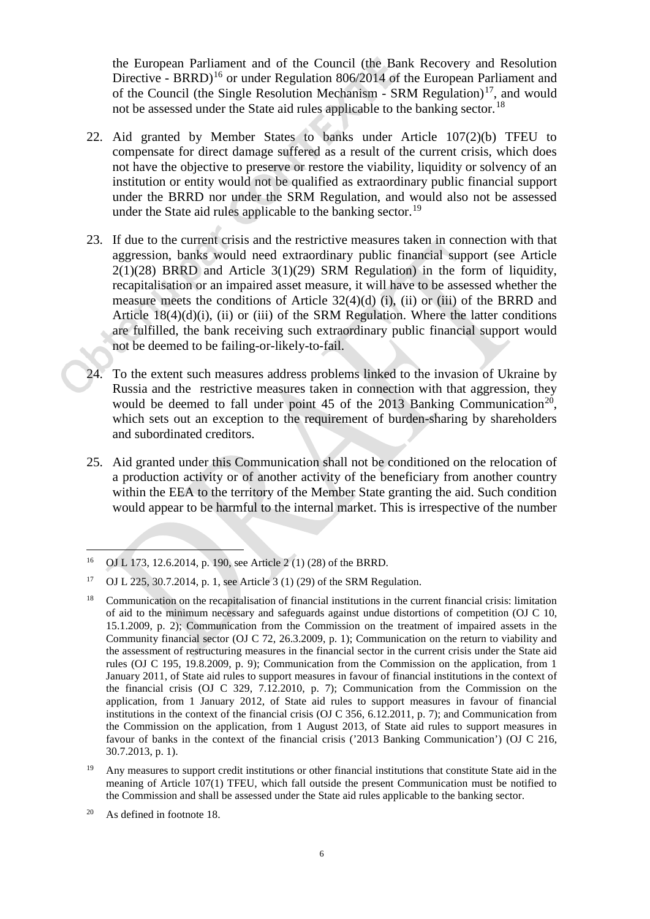<span id="page-6-0"></span>the European Parliament and of the Council (the Bank Recovery and Resolution Directive - BRRD)<sup>[16](#page-6-1)</sup> or under Regulation 806/2014 of the European Parliament and of the Council (the Single Resolution Mechanism - SRM Regulation)<sup>[17](#page-6-2)</sup>, and would not be assessed under the State aid rules applicable to the banking sector.<sup>[18](#page-6-3)</sup>

- 22. Aid granted by Member States to banks under Article 107(2)(b) TFEU to compensate for direct damage suffered as a result of the current crisis, which does not have the objective to preserve or restore the viability, liquidity or solvency of an institution or entity would not be qualified as extraordinary public financial support under the BRRD nor under the SRM Regulation, and would also not be assessed under the State aid rules applicable to the banking sector.<sup>[19](#page-6-4)</sup>
- 23. If due to the current crisis and the restrictive measures taken in connection with that aggression, banks would need extraordinary public financial support (see Article 2(1)(28) BRRD and Article 3(1)(29) SRM Regulation) in the form of liquidity, recapitalisation or an impaired asset measure, it will have to be assessed whether the measure meets the conditions of Article 32(4)(d) (i), (ii) or (iii) of the BRRD and Article 18(4)(d)(i), (ii) or (iii) of the SRM Regulation. Where the latter conditions are fulfilled, the bank receiving such extraordinary public financial support would not be deemed to be failing-or-likely-to-fail.
- 24. To the extent such measures address problems linked to the invasion of Ukraine by Russia and the restrictive measures taken in connection with that aggression, they would be deemed to fall under point 45 of the [20](#page-6-5)13 Banking Communication<sup>20</sup>, which sets out an exception to the requirement of burden-sharing by shareholders and subordinated creditors.
- 25. Aid granted under this Communication shall not be conditioned on the relocation of a production activity or of another activity of the beneficiary from another country within the EEA to the territory of the Member State granting the aid. Such condition would appear to be harmful to the internal market. This is irrespective of the number

<span id="page-6-1"></span> <sup>16</sup> OJ L 173, 12.6.2014, p. 190, see Article 2 (1) (28) of the BRRD.

<span id="page-6-2"></span><sup>&</sup>lt;sup>17</sup> OJ L 225, 30.7.2014, p. 1, see Article 3 (1) (29) of the SRM Regulation.

<span id="page-6-3"></span><sup>&</sup>lt;sup>18</sup> Communication on the recapitalisation of financial institutions in the current financial crisis: limitation of aid to the minimum necessary and safeguards against undue distortions of competition (OJ C 10, 15.1.2009, p. 2); Communication from the Commission on the treatment of impaired assets in the Community financial sector (OJ C 72, 26.3.2009, p. 1); Communication on the return to viability and the assessment of restructuring measures in the financial sector in the current crisis under the State aid rules (OJ C 195, 19.8.2009, p. 9); Communication from the Commission on the application, from 1 January 2011, of State aid rules to support measures in favour of financial institutions in the context of the financial crisis (OJ C 329, 7.12.2010, p. 7); Communication from the Commission on the application, from 1 January 2012, of State aid rules to support measures in favour of financial institutions in the context of the financial crisis (OJ C 356, 6.12.2011, p. 7); and Communication from the Commission on the application, from 1 August 2013, of State aid rules to support measures in favour of banks in the context of the financial crisis ('2013 Banking Communication') (OJ C 216, 30.7.2013, p. 1).

<span id="page-6-4"></span><sup>&</sup>lt;sup>19</sup> Any measures to support credit institutions or other financial institutions that constitute State aid in the meaning of Article 107(1) TFEU, which fall outside the present Communication must be notified to the Commission and shall be assessed under the State aid rules applicable to the banking sector.

<span id="page-6-5"></span><sup>20</sup> As defined in footnote [18.](#page-6-0)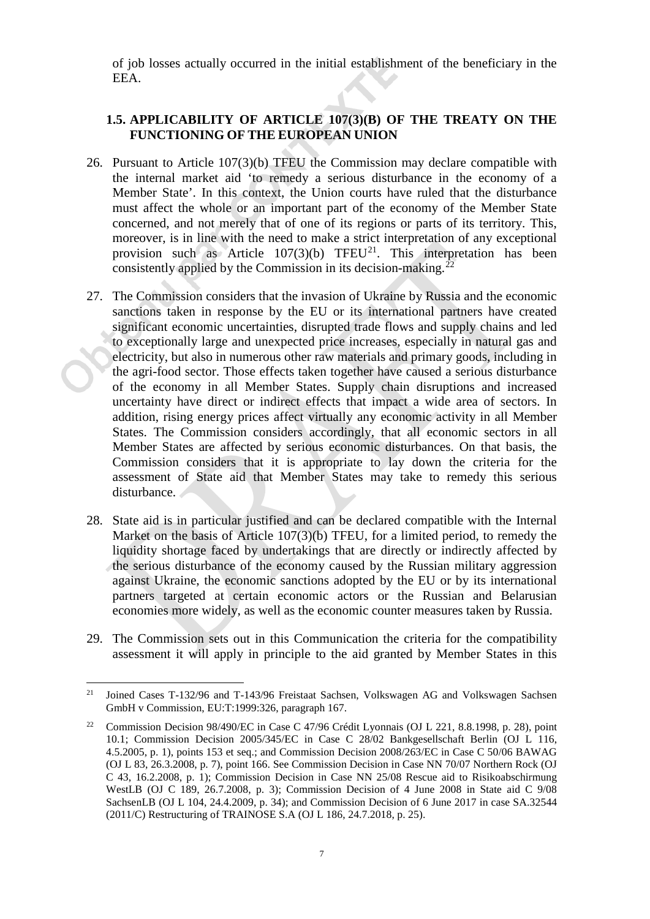of job losses actually occurred in the initial establishment of the beneficiary in the EEA.

# **1.5. APPLICABILITY OF ARTICLE 107(3)(B) OF THE TREATY ON THE FUNCTIONING OF THE EUROPEAN UNION**

- 26. Pursuant to Article 107(3)(b) TFEU the Commission may declare compatible with the internal market aid 'to remedy a serious disturbance in the economy of a Member State'. In this context, the Union courts have ruled that the disturbance must affect the whole or an important part of the economy of the Member State concerned, and not merely that of one of its regions or parts of its territory. This, moreover, is in line with the need to make a strict interpretation of any exceptional provision such as Article  $107(3)(b)$  TFEU<sup>[21](#page-7-0)</sup>. This interpretation has been consistently applied by the Commission in its decision-making.<sup>[22](#page-7-1)</sup>
- 27. The Commission considers that the invasion of Ukraine by Russia and the economic sanctions taken in response by the EU or its international partners have created significant economic uncertainties, disrupted trade flows and supply chains and led to exceptionally large and unexpected price increases, especially in natural gas and electricity, but also in numerous other raw materials and primary goods, including in the agri-food sector. Those effects taken together have caused a serious disturbance of the economy in all Member States. Supply chain disruptions and increased uncertainty have direct or indirect effects that impact a wide area of sectors. In addition, rising energy prices affect virtually any economic activity in all Member States. The Commission considers accordingly, that all economic sectors in all Member States are affected by serious economic disturbances. On that basis, the Commission considers that it is appropriate to lay down the criteria for the assessment of State aid that Member States may take to remedy this serious disturbance.
- 28. State aid is in particular justified and can be declared compatible with the Internal Market on the basis of Article 107(3)(b) TFEU, for a limited period, to remedy the liquidity shortage faced by undertakings that are directly or indirectly affected by the serious disturbance of the economy caused by the Russian military aggression against Ukraine, the economic sanctions adopted by the EU or by its international partners targeted at certain economic actors or the Russian and Belarusian economies more widely, as well as the economic counter measures taken by Russia.
- 29. The Commission sets out in this Communication the criteria for the compatibility assessment it will apply in principle to the aid granted by Member States in this

<span id="page-7-0"></span><sup>&</sup>lt;sup>21</sup> Joined Cases T-132/96 and T-143/96 Freistaat Sachsen, Volkswagen AG and Volkswagen Sachsen GmbH v Commission, EU:T:1999:326, paragraph 167.

<span id="page-7-1"></span><sup>&</sup>lt;sup>22</sup> Commission Decision 98/490/EC in Case C 47/96 Crédit Lyonnais (OJ L 221, 8.8.1998, p. 28), point 10.1; Commission Decision 2005/345/EC in Case C 28/02 Bankgesellschaft Berlin (OJ L 116, 4.5.2005, p. 1), points 153 et seq.; and Commission Decision 2008/263/EC in Case C 50/06 BAWAG (OJ L 83, 26.3.2008, p. 7), point 166. See Commission Decision in Case NN 70/07 Northern Rock (OJ C 43, 16.2.2008, p. 1); Commission Decision in Case NN 25/08 Rescue aid to Risikoabschirmung WestLB (OJ C 189, 26.7.2008, p. 3); Commission Decision of 4 June 2008 in State aid C 9/08 SachsenLB (OJ L 104, 24.4.2009, p. 34); and Commission Decision of 6 June 2017 in case SA.32544 (2011/C) Restructuring of TRAINOSE S.A (OJ L 186, 24.7.2018, p. 25).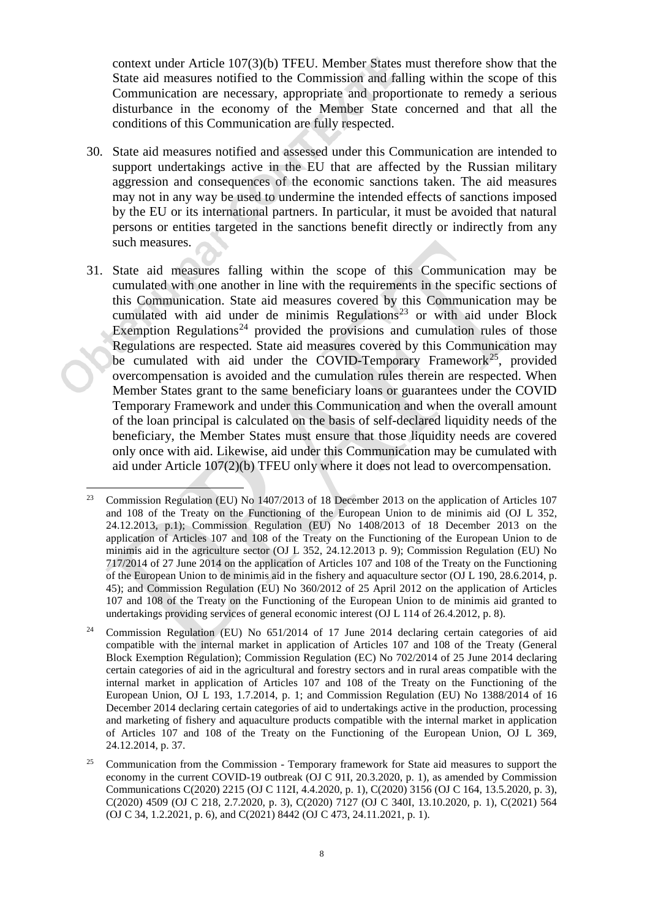context under Article 107(3)(b) TFEU. Member States must therefore show that the State aid measures notified to the Commission and falling within the scope of this Communication are necessary, appropriate and proportionate to remedy a serious disturbance in the economy of the Member State concerned and that all the conditions of this Communication are fully respected.

- 30. State aid measures notified and assessed under this Communication are intended to support undertakings active in the EU that are affected by the Russian military aggression and consequences of the economic sanctions taken. The aid measures may not in any way be used to undermine the intended effects of sanctions imposed by the EU or its international partners. In particular, it must be avoided that natural persons or entities targeted in the sanctions benefit directly or indirectly from any such measures.
- 31. State aid measures falling within the scope of this Communication may be cumulated with one another in line with the requirements in the specific sections of this Communication. State aid measures covered by this Communication may be cumulated with aid under de minimis Regulations<sup>[23](#page-8-0)</sup> or with aid under Block Exemption Regulations<sup>[24](#page-8-1)</sup> provided the provisions and cumulation rules of those Regulations are respected. State aid measures covered by this Communication may be cumulated with aid under the COVID-Temporary Framework<sup>25</sup>, provided overcompensation is avoided and the cumulation rules therein are respected. When Member States grant to the same beneficiary loans or guarantees under the COVID Temporary Framework and under this Communication and when the overall amount of the loan principal is calculated on the basis of self-declared liquidity needs of the beneficiary, the Member States must ensure that those liquidity needs are covered only once with aid. Likewise, aid under this Communication may be cumulated with aid under Article 107(2)(b) TFEU only where it does not lead to overcompensation.

<span id="page-8-0"></span><sup>&</sup>lt;sup>23</sup> Commission Regulation (EU) No 1407/2013 of 18 December 2013 on the application of Articles 107 and 108 of the Treaty on the Functioning of the European Union to de minimis aid (OJ L 352, 24.12.2013, p.1); Commission Regulation (EU) No 1408/2013 of 18 December 2013 on the application of Articles 107 and 108 of the Treaty on the Functioning of the European Union to de minimis aid in the agriculture sector (OJ L 352, 24.12.2013 p. 9); Commission Regulation (EU) No 717/2014 of 27 June 2014 on the application of Articles 107 and 108 of the Treaty on the Functioning of the European Union to de minimis aid in the fishery and aquaculture sector (OJ L 190, 28.6.2014, p. 45); and Commission Regulation (EU) No 360/2012 of 25 April 2012 on the application of Articles 107 and 108 of the Treaty on the Functioning of the European Union to de minimis aid granted to undertakings providing services of general economic interest (OJ L 114 of 26.4.2012, p. 8).

<span id="page-8-1"></span><sup>&</sup>lt;sup>24</sup> Commission Regulation (EU) No  $651/2014$  of 17 June 2014 declaring certain categories of aid compatible with the internal market in application of Articles 107 and 108 of the Treaty (General Block Exemption Regulation); Commission Regulation (EC) No 702/2014 of 25 June 2014 declaring certain categories of aid in the agricultural and forestry sectors and in rural areas compatible with the internal market in application of Articles 107 and 108 of the Treaty on the Functioning of the European Union, OJ L 193, 1.7.2014, p. 1; and Commission Regulation (EU) No 1388/2014 of 16 December 2014 declaring certain categories of aid to undertakings active in the production, processing and marketing of fishery and aquaculture products compatible with the internal market in application of Articles 107 and 108 of the Treaty on the Functioning of the European Union, OJ L 369, 24.12.2014, p. 37.

<span id="page-8-2"></span><sup>&</sup>lt;sup>25</sup> Communication from the Commission - Temporary framework for State aid measures to support the economy in the current COVID-19 outbreak (OJ C 91I, 20.3.2020, p. 1), as amended by Commission Communications C(2020) 2215 (OJ C 112I, 4.4.2020, p. 1), C(2020) 3156 (OJ C 164, 13.5.2020, p. 3), C(2020) 4509 (OJ C 218, 2.7.2020, p. 3), C(2020) 7127 (OJ C 340I, 13.10.2020, p. 1), C(2021) 564 (OJ C 34, 1.2.2021, p. 6), and C(2021) 8442 (OJ C 473, 24.11.2021, p. 1).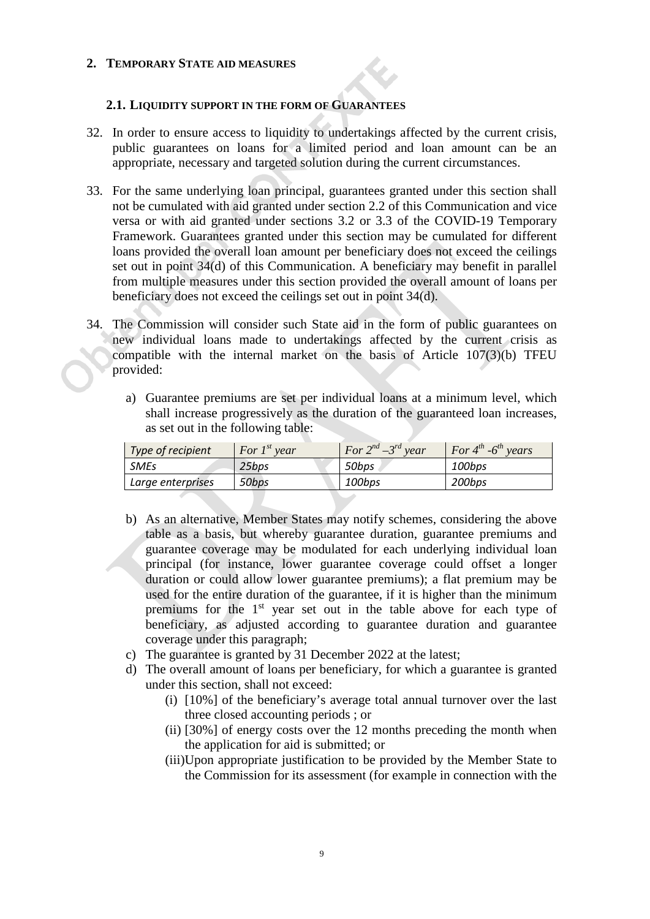# **2. TEMPORARY STATE AID MEASURES**

# <span id="page-9-0"></span>**2.1. LIQUIDITY SUPPORT IN THE FORM OF GUARANTEES**

- 32. In order to ensure access to liquidity to undertakings affected by the current crisis, public guarantees on loans for a limited period and loan amount can be an appropriate, necessary and targeted solution during the current circumstances.
- 33. For the same underlying loan principal, guarantees granted under this section shall not be cumulated with aid granted under section [2.2](#page-10-0) of this Communication and vice versa or with aid granted under sections 3.2 or 3.3 of the COVID-19 Temporary Framework. Guarantees granted under this section may be cumulated for different loans provided the overall loan amount per beneficiary does not exceed the ceilings set out in point [34\(](#page-9-1)[d\)](#page-9-2) of this Communication. A beneficiary may benefit in parallel from multiple measures under this section provided the overall amount of loans per beneficiary does not exceed the ceilings set out in point [34\(](#page-9-1)[d\).](#page-9-2)
- <span id="page-9-1"></span>34. The Commission will consider such State aid in the form of public guarantees on new individual loans made to undertakings affected by the current crisis as compatible with the internal market on the basis of Article 107(3)(b) TFEU provided:
	- a) Guarantee premiums are set per individual loans at a minimum level, which shall increase progressively as the duration of the guaranteed loan increases, as set out in the following table:

| Type of recipient | For $I^{st}$ year | For $2^{nd} - 3^{rd}$ year | For $4^{th}$ -6 <sup>th</sup> years |
|-------------------|-------------------|----------------------------|-------------------------------------|
| <b>SMEs</b>       | 25bps             | 50bps                      | 100bps                              |
| Large enterprises | 50bps             | 100bps                     | 200bps                              |

- <span id="page-9-3"></span>b) As an alternative, Member States may notify schemes, considering the above table as a basis, but whereby guarantee duration, guarantee premiums and guarantee coverage may be modulated for each underlying individual loan principal (for instance, lower guarantee coverage could offset a longer duration or could allow lower guarantee premiums); a flat premium may be used for the entire duration of the guarantee, if it is higher than the minimum premiums for the 1<sup>st</sup> year set out in the table above for each type of beneficiary, as adjusted according to guarantee duration and guarantee coverage under this paragraph;
- c) The guarantee is granted by 31 December 2022 at the latest;
- <span id="page-9-2"></span>d) The overall amount of loans per beneficiary, for which a guarantee is granted under this section, shall not exceed:
	- (i) [10%] of the beneficiary's average total annual turnover over the last three closed accounting periods ; or
	- (ii) [30%] of energy costs over the 12 months preceding the month when the application for aid is submitted; or
	- (iii)Upon appropriate justification to be provided by the Member State to the Commission for its assessment (for example in connection with the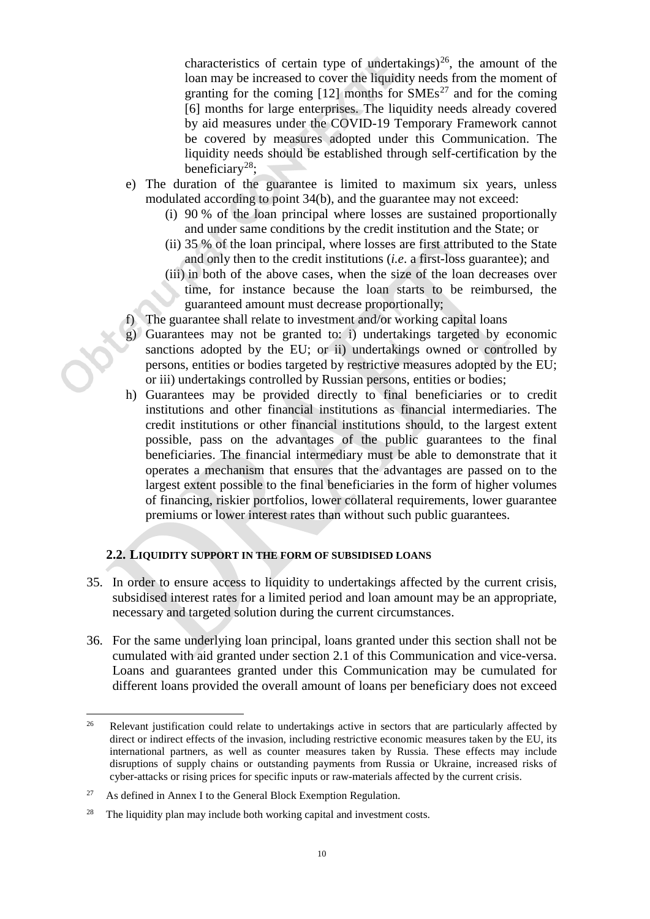characteristics of certain type of undertakings)<sup>26</sup>, the amount of the loan may be increased to cover the liquidity needs from the moment of granting for the coming  $[12]$  months for  $\text{SMEs}^{27}$  $\text{SMEs}^{27}$  $\text{SMEs}^{27}$  and for the coming [6] months for large enterprises. The liquidity needs already covered by aid measures under the COVID-19 Temporary Framework cannot be covered by measures adopted under this Communication. The liquidity needs should be established through self-certification by the beneficiary<sup>28</sup>:

- e) The duration of the guarantee is limited to maximum six years, unless modulated according to point [34\(](#page-9-1)[b\),](#page-9-3) and the guarantee may not exceed:
	- (i) 90 % of the loan principal where losses are sustained proportionally and under same conditions by the credit institution and the State; or
	- (ii) 35 % of the loan principal, where losses are first attributed to the State and only then to the credit institutions (*i.e*. a first-loss guarantee); and
	- (iii) in both of the above cases, when the size of the loan decreases over time, for instance because the loan starts to be reimbursed, the guaranteed amount must decrease proportionally;
- f) The guarantee shall relate to investment and/or working capital loans
- g) Guarantees may not be granted to: i) undertakings targeted by economic sanctions adopted by the EU; or ii) undertakings owned or controlled by persons, entities or bodies targeted by restrictive measures adopted by the EU; or iii) undertakings controlled by Russian persons, entities or bodies;
- h) Guarantees may be provided directly to final beneficiaries or to credit institutions and other financial institutions as financial intermediaries. The credit institutions or other financial institutions should, to the largest extent possible, pass on the advantages of the public guarantees to the final beneficiaries. The financial intermediary must be able to demonstrate that it operates a mechanism that ensures that the advantages are passed on to the largest extent possible to the final beneficiaries in the form of higher volumes of financing, riskier portfolios, lower collateral requirements, lower guarantee premiums or lower interest rates than without such public guarantees.

# <span id="page-10-0"></span>**2.2. LIQUIDITY SUPPORT IN THE FORM OF SUBSIDISED LOANS**

- 35. In order to ensure access to liquidity to undertakings affected by the current crisis, subsidised interest rates for a limited period and loan amount may be an appropriate, necessary and targeted solution during the current circumstances.
- 36. For the same underlying loan principal, loans granted under this section shall not be cumulated with aid granted under section [2.1](#page-9-0) of this Communication and vice-versa. Loans and guarantees granted under this Communication may be cumulated for different loans provided the overall amount of loans per beneficiary does not exceed

<span id="page-10-1"></span><sup>&</sup>lt;sup>26</sup> Relevant justification could relate to undertakings active in sectors that are particularly affected by direct or indirect effects of the invasion, including restrictive economic measures taken by the EU, its international partners, as well as counter measures taken by Russia. These effects may include disruptions of supply chains or outstanding payments from Russia or Ukraine, increased risks of cyber-attacks or rising prices for specific inputs or raw-materials affected by the current crisis.

<span id="page-10-2"></span><sup>&</sup>lt;sup>27</sup> As defined in Annex I to the General Block Exemption Regulation.

<span id="page-10-3"></span> $28$  The liquidity plan may include both working capital and investment costs.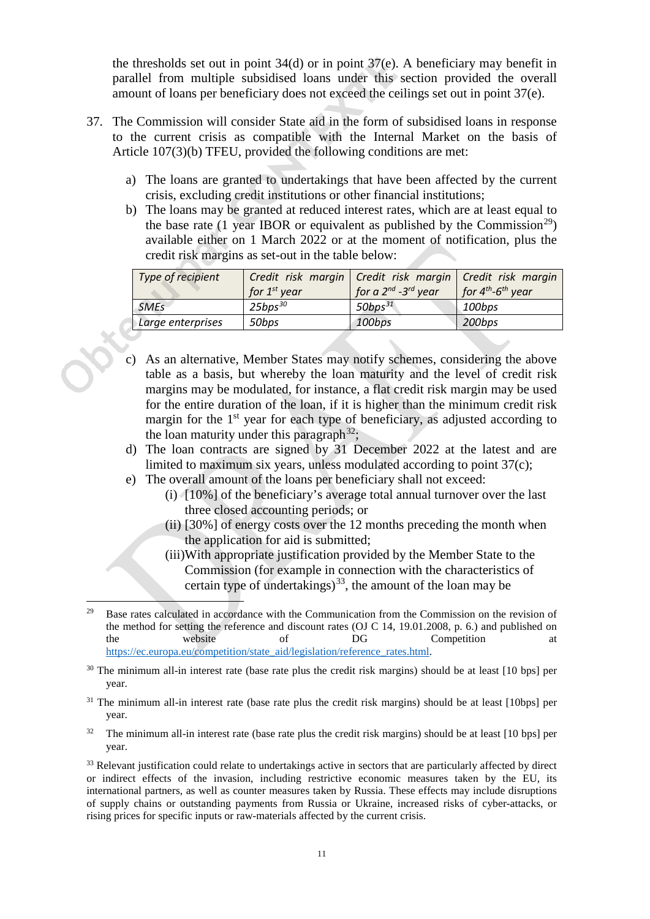the thresholds set out in point [34\(](#page-9-1)[d\)](#page-9-2) or in point [37\(](#page-11-0)[e\).](#page-11-1) A beneficiary may benefit in parallel from multiple subsidised loans under this section provided the overall amount of loans per beneficiary does not exceed the ceilings set out in point [37\(](#page-11-0)[e\).](#page-11-1)

- <span id="page-11-0"></span>37. The Commission will consider State aid in the form of subsidised loans in response to the current crisis as compatible with the Internal Market on the basis of Article 107(3)(b) TFEU, provided the following conditions are met:
	- a) The loans are granted to undertakings that have been affected by the current crisis, excluding credit institutions or other financial institutions;
	- b) The loans may be granted at reduced interest rates, which are at least equal to the base rate (1 year IBOR or equivalent as published by the Commission<sup>[29](#page-11-3)</sup>) available either on 1 March 2022 or at the moment of notification, plus the credit risk margins as set-out in the table below:

| Type of recipient | Credit risk margin   Credit risk margin   Credit risk margin<br>for $1st$ year | for a $2^{nd}$ -3 <sup>rd</sup> year | for $4^{th}$ - $6^{th}$ year |
|-------------------|--------------------------------------------------------------------------------|--------------------------------------|------------------------------|
| <b>SMEs</b>       | $25bps^{30}$                                                                   | 50bps $31$                           | 100bps                       |
| Large enterprises | 50bps                                                                          | 100bps                               | 200bps                       |
|                   |                                                                                |                                      |                              |

- <span id="page-11-2"></span>c) As an alternative, Member States may notify schemes, considering the above table as a basis, but whereby the loan maturity and the level of credit risk margins may be modulated, for instance, a flat credit risk margin may be used for the entire duration of the loan, if it is higher than the minimum credit risk margin for the  $1<sup>st</sup>$  year for each type of beneficiary, as adjusted according to the loan maturity under this paragraph<sup>32</sup>;
- d) The loan contracts are signed by 31 December 2022 at the latest and are limited to maximum six years, unless modulated according to point [37\(](#page-11-0)[c\);](#page-11-2)
- <span id="page-11-1"></span>e) The overall amount of the loans per beneficiary shall not exceed:
	- (i) [10%] of the beneficiary's average total annual turnover over the last three closed accounting periods; or
	- (ii) [30%] of energy costs over the 12 months preceding the month when the application for aid is submitted;
	- (iii)With appropriate justification provided by the Member State to the Commission (for example in connection with the characteristics of certain type of undertakings)<sup>[33](#page-11-7)</sup>, the amount of the loan may be

<span id="page-11-6"></span> $32$  The minimum all-in interest rate (base rate plus the credit risk margins) should be at least [10 bps] per year.

<span id="page-11-3"></span><sup>&</sup>lt;sup>29</sup> Base rates calculated in accordance with the Communication from the Commission on the revision of the method for setting the reference and discount rates (OJ C 14, 19.01.2008, p. 6.) and published on the website of DG Competition at https://ec.europa.eu/competition/state\_aid/legislation/reference\_rates.html.

<span id="page-11-4"></span><sup>&</sup>lt;sup>30</sup> The minimum all-in interest rate (base rate plus the credit risk margins) should be at least [10 bps] per year.

<span id="page-11-5"></span><sup>&</sup>lt;sup>31</sup> The minimum all-in interest rate (base rate plus the credit risk margins) should be at least [10bps] per year.

<span id="page-11-7"></span><sup>&</sup>lt;sup>33</sup> Relevant justification could relate to undertakings active in sectors that are particularly affected by direct or indirect effects of the invasion, including restrictive economic measures taken by the EU, its international partners, as well as counter measures taken by Russia. These effects may include disruptions of supply chains or outstanding payments from Russia or Ukraine, increased risks of cyber-attacks, or rising prices for specific inputs or raw-materials affected by the current crisis.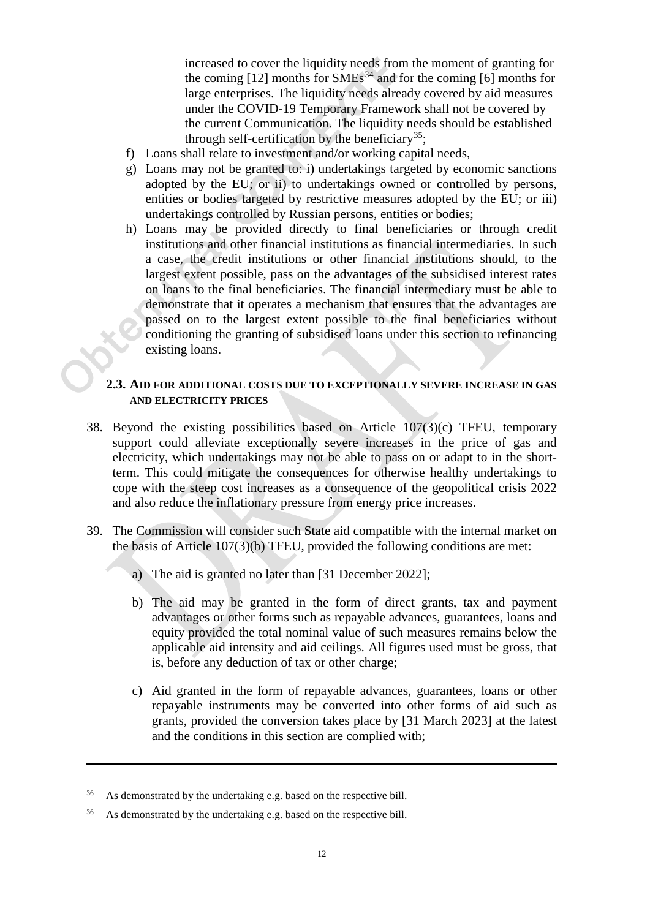increased to cover the liquidity needs from the moment of granting for the coming  $[12]$  months for SMEs<sup>[34](#page-12-0)</sup> and for the coming  $[6]$  months for large enterprises. The liquidity needs already covered by aid measures under the COVID-19 Temporary Framework shall not be covered by the current Communication. The liquidity needs should be established through self-certification by the beneficiary<sup>[35](#page-12-1)</sup>;

- f) Loans shall relate to investment and/or working capital needs,
- g) Loans may not be granted to: i) undertakings targeted by economic sanctions adopted by the EU; or ii) to undertakings owned or controlled by persons, entities or bodies targeted by restrictive measures adopted by the EU; or iii) undertakings controlled by Russian persons, entities or bodies;
- h) Loans may be provided directly to final beneficiaries or through credit institutions and other financial institutions as financial intermediaries. In such a case, the credit institutions or other financial institutions should, to the largest extent possible, pass on the advantages of the subsidised interest rates on loans to the final beneficiaries. The financial intermediary must be able to demonstrate that it operates a mechanism that ensures that the advantages are passed on to the largest extent possible to the final beneficiaries without conditioning the granting of subsidised loans under this section to refinancing existing loans.

# **2.3. AID FOR ADDITIONAL COSTS DUE TO EXCEPTIONALLY SEVERE INCREASE IN GAS AND ELECTRICITY PRICES**

- 38. Beyond the existing possibilities based on Article 107(3)(c) TFEU, temporary support could alleviate exceptionally severe increases in the price of gas and electricity, which undertakings may not be able to pass on or adapt to in the shortterm. This could mitigate the consequences for otherwise healthy undertakings to cope with the steep cost increases as a consequence of the geopolitical crisis 2022 and also reduce the inflationary pressure from energy price increases.
- <span id="page-12-2"></span>39. The Commission will consider such State aid compatible with the internal market on the basis of Article 107(3)(b) TFEU, provided the following conditions are met:
	- a) The aid is granted no later than [31 December 2022];
	- b) The aid may be granted in the form of direct grants, tax and payment advantages or other forms such as repayable advances, guarantees, loans and equity provided the total nominal value of such measures remains below the applicable aid intensity and aid ceilings. All figures used must be gross, that is, before any deduction of tax or other charge;
	- c) Aid granted in the form of repayable advances, guarantees, loans or other repayable instruments may be converted into other forms of aid such as grants, provided the conversion takes place by [31 March 2023] at the latest and the conditions in this section are complied with;

 $\overline{a}$ 

<span id="page-12-0"></span><sup>&</sup>lt;sup>36</sup> As demonstrated by the undertaking e.g. based on the respective bill.

<span id="page-12-1"></span><sup>&</sup>lt;sup>36</sup> As demonstrated by the undertaking e.g. based on the respective bill.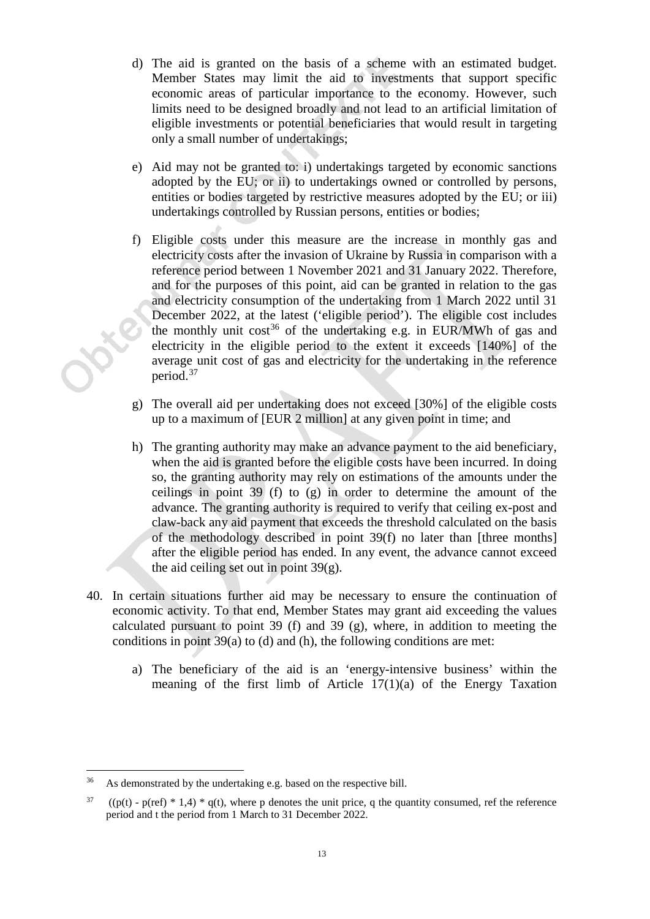- d) The aid is granted on the basis of a scheme with an estimated budget. Member States may limit the aid to investments that support specific economic areas of particular importance to the economy. However, such limits need to be designed broadly and not lead to an artificial limitation of eligible investments or potential beneficiaries that would result in targeting only a small number of undertakings;
- e) Aid may not be granted to: i) undertakings targeted by economic sanctions adopted by the EU; or ii) to undertakings owned or controlled by persons, entities or bodies targeted by restrictive measures adopted by the EU; or iii) undertakings controlled by Russian persons, entities or bodies;
- <span id="page-13-0"></span>f) Eligible costs under this measure are the increase in monthly gas and electricity costs after the invasion of Ukraine by Russia in comparison with a reference period between 1 November 2021 and 31 January 2022. Therefore, and for the purposes of this point, aid can be granted in relation to the gas and electricity consumption of the undertaking from 1 March 2022 until 31 December 2022, at the latest ('eligible period'). The eligible cost includes the monthly unit  $cost^{36}$  $cost^{36}$  $cost^{36}$  of the undertaking e.g. in EUR/MWh of gas and electricity in the eligible period to the extent it exceeds [140%] of the average unit cost of gas and electricity for the undertaking in the reference period. [37](#page-13-3)
- <span id="page-13-1"></span>g) The overall aid per undertaking does not exceed [30%] of the eligible costs up to a maximum of [EUR 2 million] at any given point in time; and
- h) The granting authority may make an advance payment to the aid beneficiary, when the aid is granted before the eligible costs have been incurred. In doing so, the granting authority may rely on estimations of the amounts under the ceilings in point [39](#page-12-2) (f) to (g) in order to determine the amount of the advance. The granting authority is required to verify that ceiling ex-post and claw-back any aid payment that exceeds the threshold calculated on the basis of the methodology described in point [39](#page-12-2)[\(f\)](#page-13-0) no later than [three months] after the eligible period has ended. In any event, the advance cannot exceed the aid ceiling set out in point [39\(](#page-12-2)[g\).](#page-13-1)
- 40. In certain situations further aid may be necessary to ensure the continuation of economic activity. To that end, Member States may grant aid exceeding the values calculated pursuant to point [39](#page-12-2) [\(f\)](#page-13-0) and [39](#page-12-2) [\(g\),](#page-13-1) where, in addition to meeting the conditions in point [39\(](#page-12-2)a) to (d) and (h), the following conditions are met:
	- a) The beneficiary of the aid is an 'energy-intensive business' within the meaning of the first limb of Article 17(1)(a) of the Energy Taxation

<span id="page-13-2"></span>As demonstrated by the undertaking e.g. based on the respective bill.

<span id="page-13-3"></span> $37$  ((p(t) - p(ref) \* 1,4) \* q(t), where p denotes the unit price, q the quantity consumed, ref the reference period and t the period from 1 March to 31 December 2022.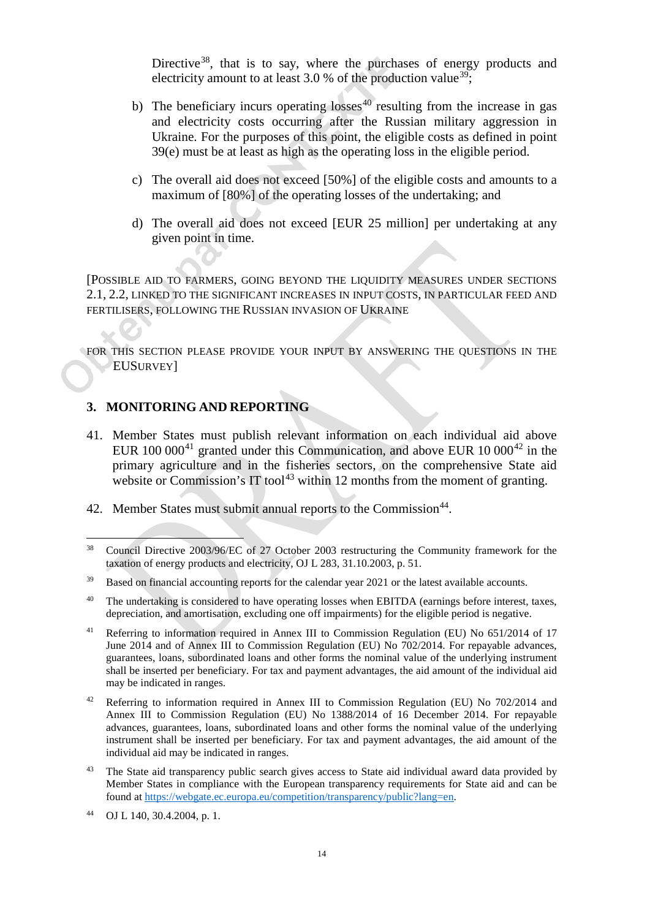Directive<sup>[38](#page-14-0)</sup>, that is to say, where the purchases of energy products and electricity amount to at least 3.0 % of the production value<sup>[39](#page-14-1)</sup>;

- b) The beneficiary incurs operating losses $40$  resulting from the increase in gas and electricity costs occurring after the Russian military aggression in Ukraine. For the purposes of this point, the eligible costs as defined in point [39\(](#page-12-2)e) must be at least as high as the operating loss in the eligible period.
- c) The overall aid does not exceed [50%] of the eligible costs and amounts to a maximum of [80%] of the operating losses of the undertaking; and
- d) The overall aid does not exceed [EUR 25 million] per undertaking at any given point in time.

[POSSIBLE AID TO FARMERS, GOING BEYOND THE LIQUIDITY MEASURES UNDER SECTIONS 2.1, 2.2, LINKED TO THE SIGNIFICANT INCREASES IN INPUT COSTS, IN PARTICULAR FEED AND FERTILISERS, FOLLOWING THE RUSSIAN INVASION OF UKRAINE

FOR THIS SECTION PLEASE PROVIDE YOUR INPUT BY ANSWERING THE QUESTIONS IN THE EUSURVEY]

### **3. MONITORING AND REPORTING**

- 41. Member States must publish relevant information on each individual aid above EUR  $100\ 000^{41}$  $100\ 000^{41}$  $100\ 000^{41}$  granted under this Communication, and above EUR  $10\ 000^{42}$  $10\ 000^{42}$  $10\ 000^{42}$  in the primary agriculture and in the fisheries sectors, on the comprehensive State aid website or Commission's IT tool<sup>[43](#page-14-5)</sup> within 12 months from the moment of granting.
- 42. Member States must submit annual reports to the Commission<sup>[44](#page-14-6)</sup>.

<span id="page-14-0"></span><sup>&</sup>lt;sup>38</sup> Council Directive 2003/96/EC of 27 October 2003 restructuring the Community framework for the taxation of energy products and electricity, OJ L 283, 31.10.2003, p. 51.

<span id="page-14-1"></span><sup>&</sup>lt;sup>39</sup> Based on financial accounting reports for the calendar year 2021 or the latest available accounts.

<span id="page-14-2"></span><sup>&</sup>lt;sup>40</sup> The undertaking is considered to have operating losses when EBITDA (earnings before interest, taxes, depreciation, and amortisation, excluding one off impairments) for the eligible period is negative.

<span id="page-14-3"></span><sup>41</sup> Referring to information required in Annex III to Commission Regulation (EU) No 651/2014 of 17 June 2014 and of Annex III to Commission Regulation (EU) No 702/2014. For repayable advances, guarantees, loans, subordinated loans and other forms the nominal value of the underlying instrument shall be inserted per beneficiary. For tax and payment advantages, the aid amount of the individual aid may be indicated in ranges.

<span id="page-14-4"></span><sup>&</sup>lt;sup>42</sup> Referring to information required in Annex III to Commission Regulation (EU) No 702/2014 and Annex III to Commission Regulation (EU) No 1388/2014 of 16 December 2014. For repayable advances, guarantees, loans, subordinated loans and other forms the nominal value of the underlying instrument shall be inserted per beneficiary. For tax and payment advantages, the aid amount of the individual aid may be indicated in ranges.

<span id="page-14-5"></span><sup>&</sup>lt;sup>43</sup> The State aid transparency public search gives access to State aid individual award data provided by Member States in compliance with the European transparency requirements for State aid and can be found a[t https://webgate.ec.europa.eu/competition/transparency/public?lang=en.](https://webgate.ec.europa.eu/competition/transparency/public?lang=en)

<span id="page-14-6"></span><sup>44</sup> OJ L 140, 30.4.2004, p. 1.